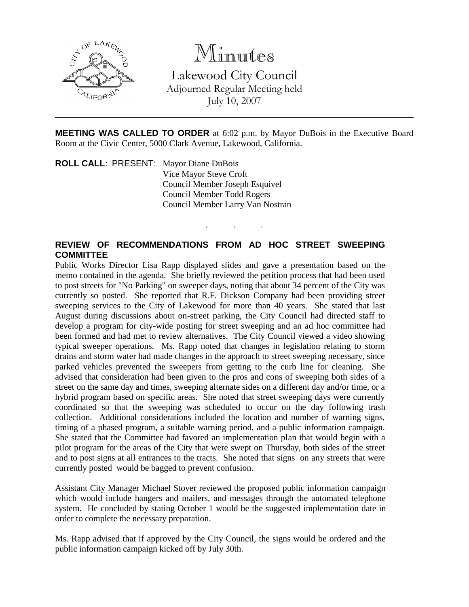

## Minutes

Lakewood City Council Adjourned Regular Meeting held July 10, 2007

**MEETING WAS CALLED TO ORDER** at 6:02 p.m. by Mayor DuBois in the Executive Board Room at the Civic Center, 5000 Clark Avenue, Lakewood, California.

. . .

**ROLL CALL**: PRESENT: Mayor Diane DuBois Vice Mayor Steve Croft Council Member Joseph Esquivel Council Member Todd Rogers Council Member Larry Van Nostran

## **REVIEW OF RECOMMENDATIONS FROM AD HOC STREET SWEEPING COMMITTEE**

Public Works Director Lisa Rapp displayed slides and gave a presentation based on the memo contained in the agenda. She briefly reviewed the petition process that had been used to post streets for "No Parking" on sweeper days, noting that about 34 percent of the City was currently so posted. She reported that R.F. Dickson Company had been providing street sweeping services to the City of Lakewood for more than 40 years. She stated that last August during discussions about on-street parking, the City Council had directed staff to develop a program for city-wide posting for street sweeping and an ad hoc committee had been formed and had met to review alternatives. The City Council viewed a video showing typical sweeper operations. Ms. Rapp noted that changes in legislation relating to storm drains and storm water had made changes in the approach to street sweeping necessary, since parked vehicles prevented the sweepers from getting to the curb line for cleaning. She advised that consideration had been given to the pros and cons of sweeping both sides of a street on the same day and times, sweeping alternate sides on a different day and/or time, or a hybrid program based on specific areas. She noted that street sweeping days were currently coordinated so that the sweeping was scheduled to occur on the day following trash collection. Additional considerations included the location and number of warning signs, timing of a phased program, a suitable warning period, and a public information campaign. She stated that the Committee had favored an implementation plan that would begin with a pilot program for the areas of the City that were swept on Thursday, both sides of the street and to post signs at all entrances to the tracts. She noted that signs on any streets that were currently posted would be bagged to prevent confusion.

Assistant City Manager Michael Stover reviewed the proposed public information campaign which would include hangers and mailers, and messages through the automated telephone system. He concluded by stating October 1 would be the suggested implementation date in order to complete the necessary preparation.

Ms. Rapp advised that if approved by the City Council, the signs would be ordered and the public information campaign kicked off by July 30th.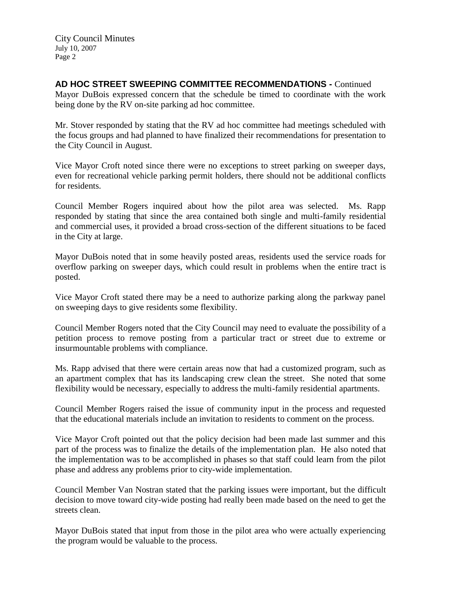City Council Minutes July 10, 2007 Page 2

## **AD HOC STREET SWEEPING COMMITTEE RECOMMENDATIONS -** Continued

Mayor DuBois expressed concern that the schedule be timed to coordinate with the work being done by the RV on-site parking ad hoc committee.

Mr. Stover responded by stating that the RV ad hoc committee had meetings scheduled with the focus groups and had planned to have finalized their recommendations for presentation to the City Council in August.

Vice Mayor Croft noted since there were no exceptions to street parking on sweeper days, even for recreational vehicle parking permit holders, there should not be additional conflicts for residents.

Council Member Rogers inquired about how the pilot area was selected. Ms. Rapp responded by stating that since the area contained both single and multi-family residential and commercial uses, it provided a broad cross-section of the different situations to be faced in the City at large.

Mayor DuBois noted that in some heavily posted areas, residents used the service roads for overflow parking on sweeper days, which could result in problems when the entire tract is posted.

Vice Mayor Croft stated there may be a need to authorize parking along the parkway panel on sweeping days to give residents some flexibility.

Council Member Rogers noted that the City Council may need to evaluate the possibility of a petition process to remove posting from a particular tract or street due to extreme or insurmountable problems with compliance.

Ms. Rapp advised that there were certain areas now that had a customized program, such as an apartment complex that has its landscaping crew clean the street. She noted that some flexibility would be necessary, especially to address the multi-family residential apartments.

Council Member Rogers raised the issue of community input in the process and requested that the educational materials include an invitation to residents to comment on the process.

Vice Mayor Croft pointed out that the policy decision had been made last summer and this part of the process was to finalize the details of the implementation plan. He also noted that the implementation was to be accomplished in phases so that staff could learn from the pilot phase and address any problems prior to city-wide implementation.

Council Member Van Nostran stated that the parking issues were important, but the difficult decision to move toward city-wide posting had really been made based on the need to get the streets clean.

Mayor DuBois stated that input from those in the pilot area who were actually experiencing the program would be valuable to the process.